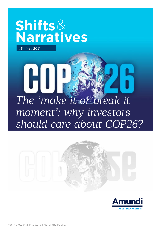# **Shifts**& **Narratives**

**#3** | May 2021

 $\bf H$ 

# *The 'make it or break it moment': why investors should care about COP26?*



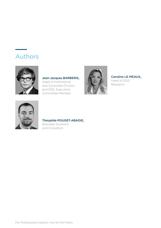# Authors



Jean-Jacques BARBERIS, Head of Institutional and Corporate Division and ESG, Executive Committee Member



Caroline LE MEAUX, Head of ESG

Research



#### Théophile POUGET-ABADIE, Business Solutions and Innovation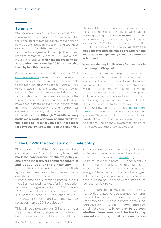#### Summary

The Conference of the Parties (COP)26 in Glasgow has been hailed as a turning point in the global fight regarding climate change amid a new US administration and a long and strenuous exit from the Covid-19 pandemic. Six years on from the Paris agreement, the objective is clear: limit the temperature rise to 1.5°C above preindustrial averages, **which means reaching net zero carbon emissions by 2050, and cutting them by half this decade.**

Currently we are not on the right track. In 2021, [carbon emissions](https://www.iea.org/reports/global-energy-review-2021) are set to rise at the secondfastest annual pace on record -- second only to the rebound after the Global Financial Crisis (GFC) in 2008. This runs counter to the growing narrative from policymakers and the private sector, who claim that climate change is the top priority on the global agenda. Indeed, we have seen climate change take centre stage in global macroeconomic and geopolitical dynamics, especially with regard to the US-China relationship. **Although Covid-19 recovery packages provide a window of opportunity for 'building back greener', thus far, these plans fall short with regard to their climate ambitions**.

The Covid-19 crisis has also put the spotlight on the social dimensions of the fight against global warming, calling for a '**Just Transition**' to a lowcarbon economy. What do these dynamics mean for investors? What can they expect from the COP26 in Glasgow? In this paper, **we provide a guide for investors on how to prepare for and understand the upcoming climate conference in Scotland.** 

#### **What are the key implications for investors in the run-up to Glasgow?**

Investors are increasingly making bold announcements in terms of reducing carbon footprints. This attitude is welcome. However, figuring out how to translate ambition into reality will be the challenge. On this front, it will be crucial for investors to assess their starting point, to define short-, medium- and long-term plans, and to design a plan that encompasses all facets of their business activity, from investment to reporting. New indicators – such as [temperature](https://research-center.amundi.com/article/temperature-scores-innovative-tool-esg-fundamental-investors)  [scores](https://research-center.amundi.com/article/temperature-scores-innovative-tool-esg-fundamental-investors) - and new methodologies are becoming available. They have their respective merits and drawbacks but gaining early exposure to such innovations would enable investors to familiarise themselves with these new approaches.

### 1. The COP26: the coronation of climate policy

The upcoming COP26 in Glasgow will be a critical juncture. At a public policy level, **it will mark the consecration of climate policy as one of the main drivers of macroeconomics**  and geopolitics for the 21<sup>st</sup> century. The United States has returned to the Paris agreement and President Biden made ambitious announcements at the recent Climate Ambition Summit he hosted in April: the US announced a target of a 50% reduction in greenhouse gas emissions by 2030 versus 55% for the EU. Several countries followed suit, notably Japan (46% reduction by 2030 from 26% previously) and Canada (40-45% reduction versus 30% previously).

This will put pressure on China and India. Beijing has already signalled its intent to become carbon neutral by 2060, although its Covid-19 recovery plan clearly falls short in the environmental sphere. The authors of a recent TransitionZero [report](https://www.transitionzero.org/insights/turning-the-supertanker) argue that China must close almost 600 coal plants if it is to meet its pledges. Despite significant investments in wind, solar and even nuclear energy, China remains by far the largest polluter, as regional governors in China have been building new coal powered stations to fuel economic growth.

Another sign that climate policy is driving geopolitics related to recent announcements from John Kerry and Xie Zhenhua, the American and Chinese climate envoys, on cooperation between the two countries on climate change. **It remains to be seen whether these words will be backed by concrete actions, but it is nevertheless**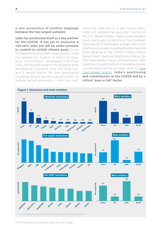**a rare occurrence of positive language between the two largest polluters**.

**India has positioned itself as a key partner for the COP26. It has yet to announce a 'net-zero' plan, but will be under pressure to commit to certain climate goals**. Since the beginning of climate negotiations, India has argued for 'justice' in terms of longterm contributors: developed countries have contributed more to the problem than developing countries over the long run, and it hardly seems fair that developing countries should sacrifice development to reduce carbon emissions -- with this even

more the case as, on a per capita basis, India still pollutes far less than the EU or the US. Nevertheless, Indian policymakers have seemingly understood the strategic importance of renewable energy, with India and France notably founding the International Solar Alliance at the COP21 in Paris. India's leaked draft National Electricity Policy for 2021 exemplifies these contradictions, with significant investments in renewable energy counterbalanced by an open door to new [coal power plants](https://www.reuters.com/world/india/exclusive-india-may-build-new-coal-plants-due-low-cost-despite-climate-change-2021-04-18/). **India's positioning and commitments at the COP26 will be a critical 'pass or fail' factor.** 

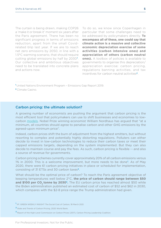The curtain is being drawn, making COP26 a 'make it or break it' moment six years after the Paris agreement. There has been no significant progress in terms of emissions reduction, apart from the small Covidrelated blip last year. If we are to reach net zero emissions by 2050, in line with a 1.5°C warming scenario, that should require cutting global emissions by half by 2030**<sup>1</sup>** . Our collective and ambitious objectives need to be translated into concrete plans and actions now.

To do so, we know since Copenhagen in particular that some challenges need to be addressed by policymakers directly. **To encompass all of these, one could say that climate action is a massive and collective economic depreciation exercise of some activities (carbon intensive ones) and appreciation of others (carbon neutral ones).** A toolbox of policies is available to governments to organise this depreciation/ appreciation exercise: carbon pricing, regulations banning activities, and tax incentives for carbon neutral activities**2**.

**<sup>1</sup>**United Nations Environment Program – Emissions Gap Report 2019.

**<sup>2</sup>**Climate Casino.

#### Carbon pricing: the ultimate solution?

A growing number of economists are pushing the argument that carbon pricing is the most efficient tool that policymakers can use to shift businesses and economies to lowcarbon [models](https://www.reuters.com/world/india/exclusive-india-may-build-new-coal-plants-due-low-cost-despite-climate-change-2021-04-18/). Nobel Prize winning economist William Nordhaus has argued that "at a minimum, all countries should agree to penalise carbon and other GHG emissions by the agreed-upon minimum price".

Indeed, carbon prices shift the burn of adjustment from the highest emitters, but without resorting to complex and potentially highly distorting regulations. Polluters can either decide to invest in low-carbon technologies to reduce their carbon taxes or meet their capped emissions targets, depending on the system implemented. But they can also decide to maintain course and pay the fees. As such, carbon pricing is flexible -- and also a source of revenue for governments.

Carbon pricing schemes currently cover approximately 20% of all carbon emissions versus 1% in 2000. This is a welcome improvement, but more needs to be done**<sup>1</sup>** . As of May 2020, there were 61 carbon pricing initiatives in place or scheduled for implementation, consisting of 31 ETSs and 30 carbon taxes**2**.

What should be the optimal price of carbon? To reach the Paris agreement objective of keeping temperatures well below 2°C, **the price of carbon should range between \$50**  and \$100 per CO<sub>2</sub> tonne by 2030<sup>3</sup>. The EU carbon price has reached almost \$50 while the Biden administration published an estimated cost of carbon of \$52 and \$62 in 2030, which compares with the \$2-8 price range the Trump administration had given.

**<sup>1</sup>** IIF: GREEN WEEKLY INSIGHT The Social Cost of Carbon, 18 March 2021.

**<sup>2</sup>** State and Trends of Carbon Pricing, 2020 World Bank.

**<sup>3</sup>** Report of the High-Level Commission on Carbon Prices (2017), Carbon Pricing Leadership Coalition.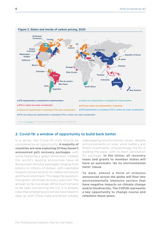

## 2. Covid-19: a window of opportunity to build back better

In a sense, the Covid-19 crisis should be considered as an opportunity**. A majority of countries are now exploring (if they haven't announced yet) recovery packages**, with some featuring a green dimension. Indeed, the world's leading economies have all announced stimulus packages ranging from billions to trillions of dollars, with inevitable impacts across sectors on carbon emissions and the environment. This begs the question: how green will those recovery plans be? The answer, so far, is a range. While much remains to be seen concerning the US, it is already clear that emerging economies have failed to step up, with China, India and Brazil notably

sidestepping environmental issues, despite announcements on solar, wind, battery and forest investments. Unsurprisingly, the EU is leading the pack, with its Next Generation EU package. **In the Union, all recovery loans and grants to member states will have an automatic 'do no environmental harm' clause**.

**To date, almost a third of stimulus announced across the globe will flow into environmentally intensive sectors that have negative impacts on climate change and/or biodiversity. The COP26 represents a key opportunity to change course and refashion these plans.**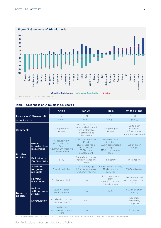

#### Table 1. Greenness of Stimulus index scores

|                             |                                             | China                                                                               | <b>EU-28</b>                                                                                           | India                                                                                     | <b>United States</b>                                              |
|-----------------------------|---------------------------------------------|-------------------------------------------------------------------------------------|--------------------------------------------------------------------------------------------------------|-------------------------------------------------------------------------------------------|-------------------------------------------------------------------|
| Index score* (O=neutral)    |                                             | $-50$                                                                               | $+41$                                                                                                  | $-20$                                                                                     | $-18$                                                             |
| <b>Stimulus size</b>        |                                             | \$0.7tn                                                                             | \$1.5tn                                                                                                | \$0.3tn                                                                                   | \$3.9tn                                                           |
| <b>Comments</b>             |                                             | Strong support<br>for coal                                                          | Condition to 'do no<br>harm' and alignment<br>with sustainable<br>investment and<br>climate risk       | Strong support<br>for coal                                                                | Up to \$3tn<br>of further<br>infrastructure<br>spending envisaged |
| <b>Positive</b><br>policies | Green<br>infrastructure<br>Investment       | \$14bn railway<br>\$4bn Green Dev.<br>Fund<br>\$379mn EV charging<br>infrastructure | \$12bn Just Transition<br>Fund<br>\$12bn sustainable<br>infrastructure<br>\$8.3bn rural<br>development | Green railway<br>initiative<br>\$27bn compressed<br>biogas<br>\$100mn solar infra<br>loan | \$35bn green<br>energy                                            |
|                             | <b>Bailout with</b><br><b>Green strings</b> | N.A.                                                                                | Agriculture, energy,<br>industry, transport,<br>waste                                                  | In energy                                                                                 | In transport                                                      |
|                             | <b>Subsidies</b><br>for green<br>products   | Electric vehicles                                                                   | EV & charging<br>infra, home energy<br>efficiency, heating                                             | \$20bn manufacturing<br>\$2.4bn electric<br>batteries                                     | \$100mn biofuel                                                   |
| <b>Negative</b><br>policies | <b>Harmful</b><br>investment                | Coal power plants                                                                   | N.A.                                                                                                   | \$1.1bn coal power<br>plant<br>\$6.6mn coal mine<br>infrastructure                        | \$667mn natural<br>gas manufacturing<br>in PN                     |
|                             | <b>Bailout</b><br>without green<br>strings  | \$3.5bn, Cathay<br>Pacific Airline                                                  | N.A.                                                                                                   | N.A.                                                                                      | \$90bn aviation<br>industry                                       |
|                             | <b>Deregulation</b>                         | Acceleration of coal<br>permits approval                                            | N.A.                                                                                                   |                                                                                           | Regulations<br>indefinitely<br>postponed                          |
|                             |                                             | Traditional<br>combustion engine<br>cars                                            | N.A.                                                                                                   |                                                                                           | In energy                                                         |

Source: Vivid Economics. \*: Vivid Economics Greenness of Stimulus index, scale from -100 to 100, where 0 is neutral impact.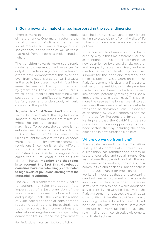#### 3. Going beyond climate change: incorporating the social dimension

There is more to the picture than simply climate change. One major factor is the social dimension of climate change: the social impacts that climate change has on societies around the world as well as those that result from the policies implemented to fight it.

The transition towards more sustainable models and consumption will be successful only if it is made socially acceptable. Recent events have demonstrated this over and over: from rejections of carbon tax increases in France to job losses in certain fossil fuel areas that are not directly compensated by 'green' jobs. The current Covid-19 crisis, which is still unfolding and regarding which socioeconomic ramifications remain to be fully seen and understood, will only compound this problem.

**So, what is a 'Just Transition'?** In stylised terms, it is one in which the negative social impacts, such as job losses, are minimised while the positive social impacts are maximised. To be sure, the concept is not entirely new: its roots date back to the 1970s in the United States, when trade unions fought for workers whose livelihoods were threatened by new environmental regulations. Since then, it has taken different forms. In international climate negotiations, for instance, some states or regions have called for a 'just' contribution to fight climate change, **meaning one that takes into account the fact that developed countries have overwhelmingly contributed to high levels of pollutions starting from the Industrial Revolution.**

The 2015 Paris agreement notably called for actions that take into account "the imperatives of a just transition of the workforce and the creation of decent work and quality". Finally, the Silesia declaration of 2018 called for special consideration regarding coal regions. Increasingly, the topic has spread from trade unions and international negotiations to day-to-day democratic life: in France, the government

For Professional Investors. Not for the Public.

launched a Citizens Convention for Climate, inviting selected citizens from all walks of life to brainstorm on a new generation of climate policies.

If the concept has been around for half a century, why is this time different? For one, as mentioned above, the climate crisis has now been joined by a social crisis: poverty and inequality rates have risen, and may rise further as debt levels may constrain support for the poor and redistribution policies. Secondly, six years on from the Paris Agreement, it is clear that if we are to deliver on the ambitious climate promises made, words will need to be transformed into actions, potentially making their social impacts more salient than ever. This is even more the case as the longer we fail to act decisively, the more we face the risk of a brutal transition, an "Inevitable Policy Response", as described by Vivid Economics and the Principles for Responsible Investment. Having said that, the Covid-19 crisis also presents a formidable opportunity to 'build back better', thereby including the social dimension in new sustainable policies.

#### Where do we go from here?

The debates around the 'Just Transition' testify to its complexity. Indeed, such a Transition has ramifications across all sectors, countries and social groups. One way to break this down is to look at it through four dimensions: workers, consumers, local communities and societies. Taking them in order, a Just Transition must ensure that workers in industries that are restructuring can find new employment in sustainable industries, and/or have adequate social safety nets. It is also one in which goods and services are aligned with the objectives of the Paris Agreement, and accessible to all. Local communities will be affected differently, and so sharing the benefits and costs equally will be crucial. The Just Transition must take care to ensure that every stakeholder plays their role in full through constructive dialogue to coordinated actions.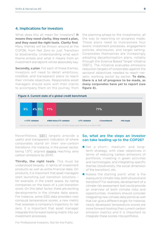### 4. Implications for investors

What does this all mean for investors? **It means they need clarity, they need a plan, and they need the right tools. Clarity first**. Many themes will be thrown around at the COP26, from Net Zero to Just Transition to biodiversity. Understanding what each theme entails and what it means from an investment standpoint will be absolutely key.

**Secondly, a plan**. For each of these themes, investors will need to detail ambitious, credible, and transparent plans to reach their climate objectives. Responsible asset managers should work with their clients to accompany them on this journey, from

the planning phase to the investments, all the way to reporting on progress made. Those plans need to incorporate four levers: investment processes, engagement policies, disclosures, and target setting. Corporates themselves are increasingly adopting decarbonisation plans, notably through the Science Based Target initiative (SBTi). The initiative evaluates emissions reduction targets of corporates against the sectoral objectives needed to reach netzero, working sector by sector. **To date, there is a lot of progress to be made, as many corporates have yet to report (see figure 4).**



Nevertheless, [SBTi](https://sciencebasedtargets.org/companies-taking-action) targets provide a useful and transparent indication of where corporates stand on their low-carbon transitions. For instance, in the power sector, being 1.5°C aligned [means](https://sciencebasedtargets.org/resources/legacy/2020/06/SBTi-Power-Sector-15C-guide-FINAL.pdf) reaching zero carbon emissions by 2040.

**Thirdly, the right tools**. This must be understood broadly: in terms of investment products as well as extra-financial data. On products, it is important that asset managers start launching just transition solutions – for example, in the credit space, by rating companies on the basis of a just transition score. On this latter factor, there are exciting developments in the climate data space. For instance, some ESG data providers now compute temperature scores, a new metric that assesses a company's trajectory to net zero. It is important that asset manager integrate this forward-looking metric into our investment processes.

### So, what are the steps an investor can take leading up to the COP26?

- Set a short-, medium- and longterm strategy, with clear objectives in terms of reducing carbon emissions of portfolios, investing in green activities and technologies, and integrating specific themes (biodiversity, the social dimension of the transition), etc.
- Assess the starting point: what is the exposure to climate risks, both physical and transition? For example, development of a climate risk assessment tool could provide an overview of both climate risks and opportunities. Investors should consider integrating new climate data points as well that can give a different angle: for instance, newly developed temperature scores are more forward-looking than current carbon emission metrics and it is important to integrate these scores into portfolios.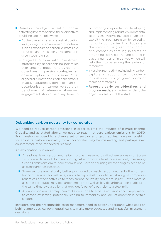- Based on the objectives set out above, activating levers to achieve these objectives could include the following:
	- At the overall strategic asset allocation level, integrate environmental criteria, such as exposure to carbon, climate risks (physical and transition), investments in green technologies.
	- Integrate carbon into investment strategies by decarbonising portfolios over time to meet Paris agreement objectives. In passive strategies, an obvious option is to consider Parisaligned or climate transition benchmarks. In active strategies, portfolios can set decarbonisation targets versus their benchmark of reference. Moreover, engagement should be a key lever to

accompany corporates in developing and implementing robust environmental strategies. Active investors can also exploit the green premium by selecting not only companies that today are champions in the green transition but also companies that lag in terms of ESG rating today but that are putting in place a number of initiatives which will help them to be among the leaders of tomorrow.

- Invest in green activities, including carbon capture or reduction technologies – for instance, through green bonds or thematic strategies.
- **Report clearly on objectives and progress made**, and review regularly the objectives set out at the start.

#### Debunking carbon neutrality for corporates

We need to reduce carbon emissions in order to limit the impacts of climate change. Globally, and as stated above, we need to reach net zero carbon emissions by 2050. For investors exposed to a diverse set of sectors and geographies, however, pushing for absolute carbon neutrality for all corporates may be misleading and perhaps even counterproductive for several reasons.

An explanation is in order:

- At a global level, carbon neutrality must be measured by direct emissions -- or Scope 1 -- in order to avoid double-counting. At a corporate level, however, only measuring Scope 1 emissions omits indirect emissions. Carbon counting methodologies need to be as transparent as possible.
- Some sectors are naturally better positioned to reach carbon neutrality than others: financial services, for instance, versus heavy industry or utilities. Asking all companies regardless of their activities to reach carbon neutrality can seem unjust -- even more so as some corporates may be carbon emitters as well as key decarbonisation enablers at the same time: e.g., a utility that provides 'cleaner' electricity to a steel mill.
- A low carbon emitter may then make no efforts to limit its emissions and simply resort to carbon offsetting, potentially leading to immobility and lack of ambition in certain sectors.

Investors and their responsible asset managers need to better understand what goes on behind ambitious 'carbon neutral' calls to make more educated and impactful investment decisions.